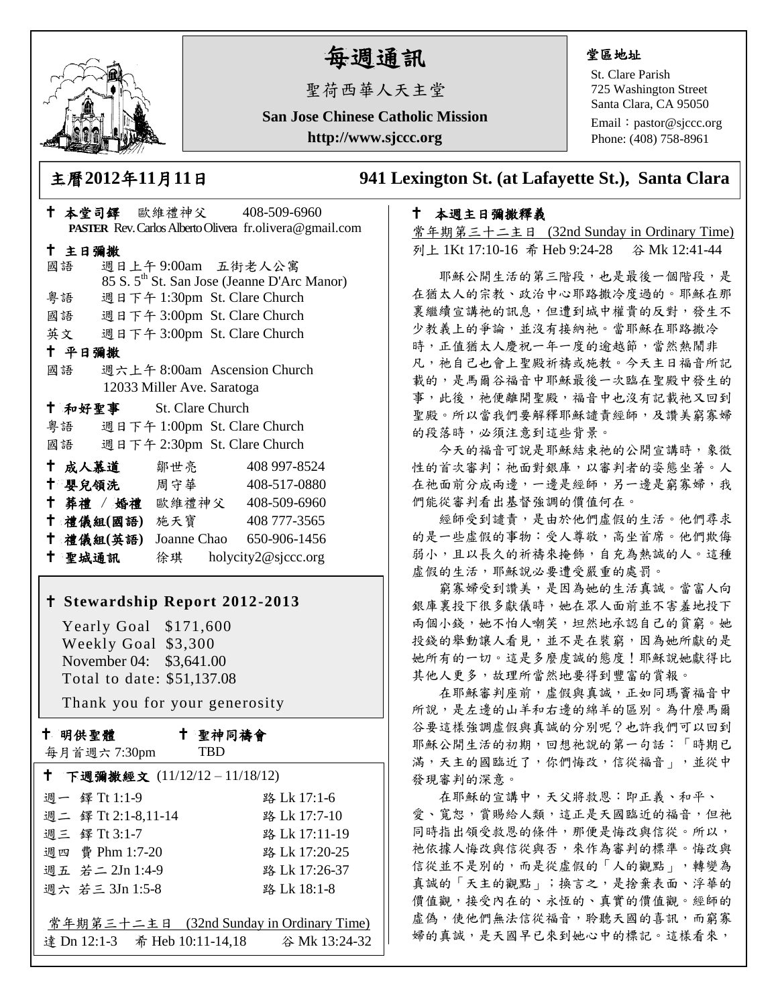

# 每週通訊

聖荷西華人天主堂

**San Jose Chinese Catholic Mission http://www.sjccc.org**

#### 堂區地址

St. Clare Parish 725 Washington Street Santa Clara, CA 95050

Email: [pastor@sjccc.org](mailto:pastor@sjccc.org) Phone: (408) 758-8961

主曆**2012**年**11**月**11**日 **941 Lexington St. (at Lafayette St.), Santa Clara** 

## 本週主日彌撒釋義

常年期第三十二主日 (32nd Sunday in Ordinary Time) 列上 1Kt 17:10-16 希 Heb 9:24-28 谷 Mk 12:41-44

 耶穌公開生活的第三階段,也是最後一個階段,是 在猶太人的宗教、政治中心耶路撒冷度過的。耶穌在那 裏繼續宣講祂的訊息,但遭到城中權貴的反對,發生不 少教義上的爭論,並沒有接納祂。當耶穌在耶路撒冷 時,正值猶太人慶祝一年一度的逾越節,當然熱鬧非 凡, 祂自己也會上聖殿祈禱或施教。今天主日福音所記 載的,是馬爾谷福音中耶穌最後一次臨在聖殿中發生的 事,此後,祂便離開聖殿,福音中也沒有記載祂又回到 聖殿。所以當我們要解釋耶穌譴責經師,及讚美窮寡婦 的段落時,必須注意到這些背景。

 今天的福音可說是耶穌結束祂的公開宣講時,象徵 性的首次審判;祂面對銀庫,以審判者的姿態坐著。人 在祂面前分成兩邊,一邊是經師,另一邊是窮寡婦,我 們能從審判看出基督強調的價值何在。

 經師受到譴責,是由於他們虛假的生活。他們尋求 的是一些虛假的事物:受人尊敬,高坐首席。他們欺侮 弱小,且以長久的祈禱來掩飾,自充為熱誠的人。這種 虚假的生活,耶穌說必要遭受嚴重的處罰。

 窮寡婦受到讚美,是因為她的生活真誠。當富人向 銀庫裏投下很多獻儀時,她在眾人面前並不害羞地投下 兩個小錢,她不怕人嘲笑,坦然地承認自己的貧窮。她 投錢的舉動讓人看見,並不是在裝窮,因為她所獻的是 她所有的一切。這是多麼虔誠的態度!耶穌說她獻得比 其他人更多,故理所當然地要得到豐富的賞報。

在耶穌審判座前,虛假與真誠,正如同瑪竇福音中 所說,是左邊的山羊和右邊的綿羊的區別。為什麼馬爾 谷要這樣強調虛假與真誠的分別呢?也許我們可以回到 耶穌公開生活的初期,回想祂說的第一句話:「時期已 滿,天主的國臨近了,你們悔改,信從福音」,並從中 發現審判的深意。

 在耶穌的宣講中,天父將救恩:即正義、和平、 愛、寬恕,賞賜給人類,這正是天國臨近的福音,但祂 同時指出領受救恩的條件,那便是悔改與信從。所以, 祂依據人悔改與信從與否,來作為審判的標準。悔改與 信從並不是別的,而是從虛假的「人的觀點」,轉變為 真誠的「天主的觀點」;換言之,是捨棄表面、浮華的 價值觀,接受內在的、永恆的、真實的價值觀。經師的 虛偽,使他們無法信從福音,聆聽天國的喜訊,而窮寡 婦的真誠,是天國早已來到她心中的標記。這樣看來,

|                            |           |                         | <b>PASTER</b> Rev. Carlos Alberto Olivera fr. olivera@gmail.com |  |  |
|----------------------------|-----------|-------------------------|-----------------------------------------------------------------|--|--|
|                            |           |                         |                                                                 |  |  |
| 十 主日彌撒                     |           |                         |                                                                 |  |  |
|                            | 國語        |                         | 週日上午9:00am 五街老人公寓                                               |  |  |
|                            |           |                         | 85 S. 5 <sup>th</sup> St. San Jose (Jeanne D'Arc Manor)         |  |  |
|                            | 粤語        |                         | 週日下午 1:30pm St. Clare Church                                    |  |  |
|                            |           |                         | 國語 週日下午 3:00pm St. Clare Church                                 |  |  |
|                            |           |                         | 英文 週日下午 3:00pm St. Clare Church                                 |  |  |
|                            | 十 平日彌撒    |                         |                                                                 |  |  |
|                            | 國語        |                         | 週六上午 8:00am Ascension Church                                    |  |  |
| 12033 Miller Ave. Saratoga |           |                         |                                                                 |  |  |
|                            |           | † 和好聖事 St. Clare Church |                                                                 |  |  |
|                            |           |                         | 粤語 週日下午 1:00pm St. Clare Church                                 |  |  |
|                            |           |                         | 國語 週日下午 2:30pm St. Clare Church                                 |  |  |
|                            | 十 成人慕道    | 鄒世亮                     | 408 997-8524                                                    |  |  |
|                            |           | † 嬰兒領洗──周守華──           | 408-517-0880                                                    |  |  |
|                            |           |                         | + 葬禮 / 婚禮 歐維禮神父 408-509-6960                                    |  |  |
|                            |           | 十禮儀組(國語) 施天寶            | 408 777-3565                                                    |  |  |
|                            | 十 禮儀組(英語) |                         | Joanne Chao 650-906-1456                                        |  |  |

本堂司鐸 歐維禮神父 408-509-6960

#### **Stewardship Report 2012-2013**

聖城通訊 徐琪 holycity2@sjccc.org

 Yearly Goal \$171,600 Weekly Goal \$3,300 November 04: \$3,641.00 Total to date: \$51,137.08

Thank you for your generosity

十 明供聖體

 聖神同禱會 **TRD** 

| 每月首週六 7:30pm                 | TBD                                      |  |  |  |
|------------------------------|------------------------------------------|--|--|--|
| ↑ 下週彌撒經文 (11/12/12-11/18/12) |                                          |  |  |  |
| 週一 鐸 Tt 1:1-9                | 路 Lk 17:1-6                              |  |  |  |
| 週二 鐸 Tt 2:1-8,11-14          | 路 Lk 17:7-10                             |  |  |  |
| 週三 鐸 Tt 3:1-7                | 路 Lk 17:11-19                            |  |  |  |
| 週四 費 Phm 1:7-20              | 路 Lk 17:20-25                            |  |  |  |
| 週五 若二 2Jn 1:4-9              | 路 Lk 17:26-37                            |  |  |  |
| 週六 若三 3Jn 1:5-8              | 路 Lk 18:1-8                              |  |  |  |
|                              |                                          |  |  |  |
|                              | 常年期第三十二主日 (32nd Sunday in Ordinary Time) |  |  |  |
|                              |                                          |  |  |  |
|                              |                                          |  |  |  |